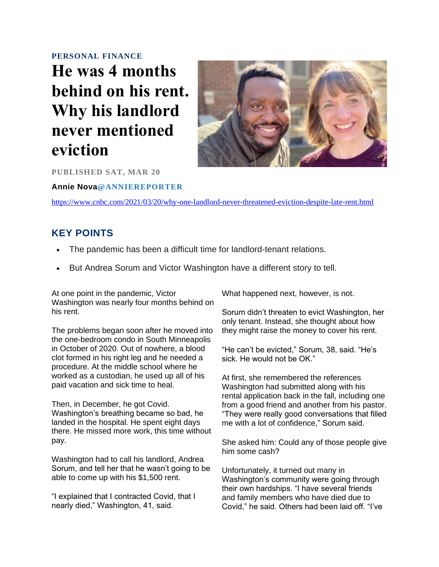#### **[PERSONAL FINANCE](https://www.cnbc.com/personal-finance/)**

# **He was 4 months behind on his rent. Why his landlord never mentioned eviction**



**PUBLISHED SAT, MAR 20** 

**[Annie Nova](https://www.cnbc.com/anne-nova/)[@ANNIEREPORTER](https://twitter.com/AnnieReporter)**

<https://www.cnbc.com/2021/03/20/why-one-landlord-never-threatened-eviction-despite-late-rent.html>

### **KEY POINTS**

- The pandemic has been a difficult time for landlord-tenant relations.
- But Andrea Sorum and Victor Washington have a different story to tell.

At one point in the pandemic, Victor Washington was nearly four months behind on his rent.

The problems began soon after he moved into the one-bedroom condo in South Minneapolis in October of 2020. Out of nowhere, a blood clot formed in his right leg and he needed a procedure. At the middle school where he worked as a custodian, he used up all of his paid vacation and sick time to heal.

Then, in December, he got Covid. Washington's breathing became so bad, he landed in the hospital. He spent eight days there. He missed more work, this time without pay.

Washington had to call his landlord, Andrea Sorum, and tell her that he wasn't going to be able to come up with his \$1,500 rent.

"I explained that I contracted Covid, that I nearly died," Washington, 41, said.

What happened next, however, is not.

Sorum didn't threaten to evict Washington, her only tenant. Instead, she thought about how they might raise the money to cover his rent.

"He can't be evicted," Sorum, 38, said. "He's sick. He would not be OK."

At first, she remembered the references Washington had submitted along with his rental application back in the fall, including one from a good friend and another from his pastor. "They were really good conversations that filled me with a lot of confidence," Sorum said.

She asked him: Could any of those people give him some cash?

Unfortunately, it turned out many in Washington's community were going through their own hardships. "I have several friends and family members who have died due to Covid," he said. Others had been laid off. "I've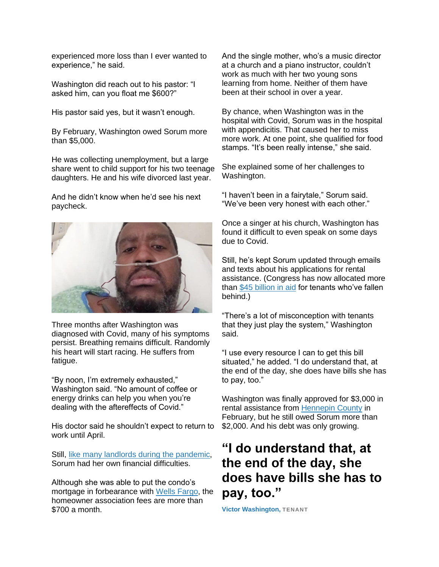experienced more loss than I ever wanted to experience," he said.

Washington did reach out to his pastor: "I asked him, can you float me \$600?"

His pastor said yes, but it wasn't enough.

By February, Washington owed Sorum more than \$5,000.

He was collecting unemployment, but a large share went to child support for his two teenage daughters. He and his wife divorced last year.

And he didn't know when he'd see his next paycheck.



Three months after Washington was diagnosed with Covid, many of his symptoms persist. Breathing remains difficult. Randomly his heart will start racing. He suffers from fatigue.

"By noon, I'm extremely exhausted," Washington said. "No amount of coffee or energy drinks can help you when you're dealing with the aftereffects of Covid."

His doctor said he shouldn't expect to return to work until April.

Still, [like many landlords during the pandemic,](https://www.cnn.com/2020/12/17/success/landlords-struggling-rent-eviction/index.html) Sorum had her own financial difficulties.

Although she was able to put the condo's mortgage in forbearance with [Wells Fargo,](https://www.cnbc.com/quotes/WFC) the homeowner association fees are more than \$700 a month.

And the single mother, who's a music director at a church and a piano instructor, couldn't work as much with her two young sons learning from home. Neither of them have been at their school in over a year.

By chance, when Washington was in the hospital with Covid, Sorum was in the hospital with appendicitis. That caused her to miss more work. At one point, she qualified for food stamps. "It's been really intense," she said.

She explained some of her challenges to Washington.

"I haven't been in a fairytale," Sorum said. "We've been very honest with each other."

Once a singer at his church, Washington has found it difficult to even speak on some days due to Covid.

Still, he's kept Sorum updated through emails and texts about his applications for rental assistance. (Congress has now allocated more than [\\$45 billion in aid](https://www.cnbc.com/2021/03/12/more-than-45-billion-in-rental-assistance-is-now-available.html) for tenants who've fallen behind.)

"There's a lot of misconception with tenants that they just play the system," Washington said.

"I use every resource I can to get this bill situated," he added. "I do understand that, at the end of the day, she does have bills she has to pay, too."

Washington was finally approved for \$3,000 in rental assistance from [Hennepin County](https://www.hennepin.us/rent-help) in February, but he still owed Sorum more than \$2,000. And his debt was only growing.

## **"I do understand that, at the end of the day, she does have bills she has to pay, too."**

**Victor Washington, TENANT**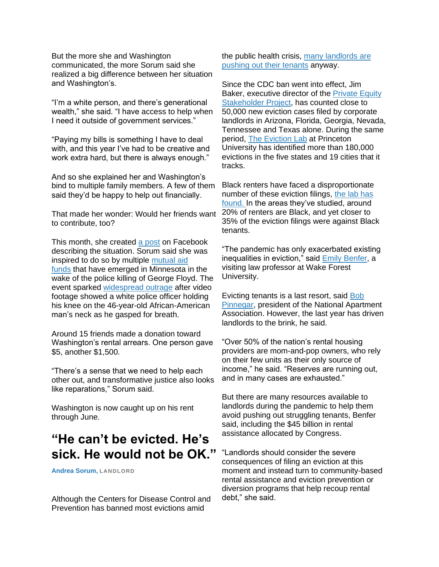But the more she and Washington communicated, the more Sorum said she realized a big difference between her situation and Washington's.

"I'm a white person, and there's generational wealth," she said. "I have access to help when I need it outside of government services."

"Paying my bills is something I have to deal with, and this year I've had to be creative and work extra hard, but there is always enough."

And so she explained her and Washington's bind to multiple family members. A few of them said they'd be happy to help out financially.

That made her wonder: Would her friends want to contribute, too?

This month, she created [a post](https://www.facebook.com/andrea.sorum.789) on Facebook describing the situation. Sorum said she was inspired to do so by multiple [mutual aid](https://www.facebook.com/groups/southsidemutualaid)  [funds](https://www.facebook.com/groups/southsidemutualaid) that have emerged in Minnesota in the wake of the police killing of George Floyd. The event sparked [widespread outrage](https://www.cnbc.com/2020/05/29/protests-over-george-floyds-death-spread-across-the-nation.html) after video footage showed a white police officer holding his knee on the 46-year-old African-American man's neck as he gasped for breath.

Around 15 friends made a donation toward Washington's rental arrears. One person gave \$5, another \$1,500.

"There's a sense that we need to help each other out, and transformative justice also looks like reparations," Sorum said.

Washington is now caught up on his rent through June.

## **"He can't be evicted. He's sick. He would not be OK."**

**Andrea Sorum, LANDLORD**

Although the Centers for Disease Control and Prevention has banned most evictions amid

the public health crisis, [many landlords are](https://www.cnbc.com/2020/12/05/why-home-evictions-are-still-happening-despite-cdc-ban.html)  [pushing out their tenants](https://www.cnbc.com/2020/12/05/why-home-evictions-are-still-happening-despite-cdc-ban.html) anyway.

Since the CDC ban went into effect, Jim Baker, executive director of the [Private Equity](https://pestakeholder.org/about-us/)  [Stakeholder Project,](https://pestakeholder.org/about-us/) has counted close to 50,000 new eviction cases filed by corporate landlords in Arizona, Florida, Georgia, Nevada, Tennessee and Texas alone. During the same period, [The Eviction Lab](https://evictionlab.org/) at Princeton University has identified more than 180,000 evictions in the five states and 19 cities that it tracks.

Black renters have faced a disproportionate number of these eviction filings, [the lab has](https://evictionlab.org/pandemic-filing-demographics/)  [found.](https://evictionlab.org/pandemic-filing-demographics/) In the areas they've studied, around 20% of renters are Black, and yet closer to 35% of the eviction filings were against Black tenants.

"The pandemic has only exacerbated existing inequalities in eviction," said [Emily Benfer,](https://law.wfu.edu/faculty/profile/benfere/) a visiting law professor at Wake Forest University.

Evicting tenants is a last resort, said [Bob](https://www.naahq.org/about/leadership/robert-pinnegar-bio)  [Pinnegar,](https://www.naahq.org/about/leadership/robert-pinnegar-bio) president of the National Apartment Association. However, the last year has driven landlords to the brink, he said.

"Over 50% of the nation's rental housing providers are mom-and-pop owners, who rely on their few units as their only source of income," he said. "Reserves are running out, and in many cases are exhausted."

But there are many resources available to landlords during the pandemic to help them avoid pushing out struggling tenants, Benfer said, including the \$45 billion in rental assistance allocated by Congress.

"Landlords should consider the severe consequences of filing an eviction at this moment and instead turn to community-based rental assistance and eviction prevention or diversion programs that help recoup rental debt," she said.